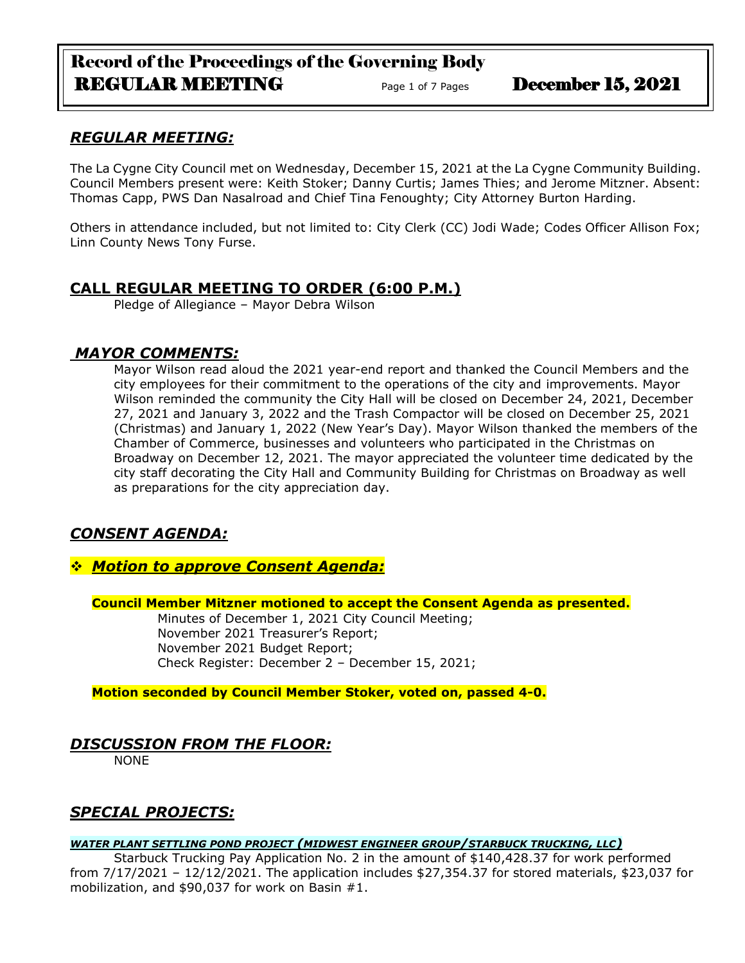# Record of the Proceedings of the Governing Body REGULAR MEETING Page 1 of 7 Pages December 15, 2021

### *REGULAR MEETING:*

The La Cygne City Council met on Wednesday, December 15, 2021 at the La Cygne Community Building. Council Members present were: Keith Stoker; Danny Curtis; James Thies; and Jerome Mitzner. Absent: Thomas Capp, PWS Dan Nasalroad and Chief Tina Fenoughty; City Attorney Burton Harding.

Others in attendance included, but not limited to: City Clerk (CC) Jodi Wade; Codes Officer Allison Fox; Linn County News Tony Furse.

### **CALL REGULAR MEETING TO ORDER (6:00 P.M.)**

Pledge of Allegiance – Mayor Debra Wilson

### *MAYOR COMMENTS:*

Mayor Wilson read aloud the 2021 year-end report and thanked the Council Members and the city employees for their commitment to the operations of the city and improvements. Mayor Wilson reminded the community the City Hall will be closed on December 24, 2021, December 27, 2021 and January 3, 2022 and the Trash Compactor will be closed on December 25, 2021 (Christmas) and January 1, 2022 (New Year's Day). Mayor Wilson thanked the members of the Chamber of Commerce, businesses and volunteers who participated in the Christmas on Broadway on December 12, 2021. The mayor appreciated the volunteer time dedicated by the city staff decorating the City Hall and Community Building for Christmas on Broadway as well as preparations for the city appreciation day.

# *CONSENT AGENDA:*

### ❖ *Motion to approve Consent Agenda:*

**Council Member Mitzner motioned to accept the Consent Agenda as presented.**

Minutes of December 1, 2021 City Council Meeting; November 2021 Treasurer's Report; November 2021 Budget Report; Check Register: December 2 – December 15, 2021;

**Motion seconded by Council Member Stoker, voted on, passed 4-0.** 

# *DISCUSSION FROM THE FLOOR:*

NONE

# *SPECIAL PROJECTS:*

#### *WATER PLANT SETTLING POND PROJECT (MIDWEST ENGINEER GROUP/STARBUCK TRUCKING, LLC)*

Starbuck Trucking Pay Application No. 2 in the amount of \$140,428.37 for work performed from 7/17/2021 – 12/12/2021. The application includes \$27,354.37 for stored materials, \$23,037 for mobilization, and \$90,037 for work on Basin #1.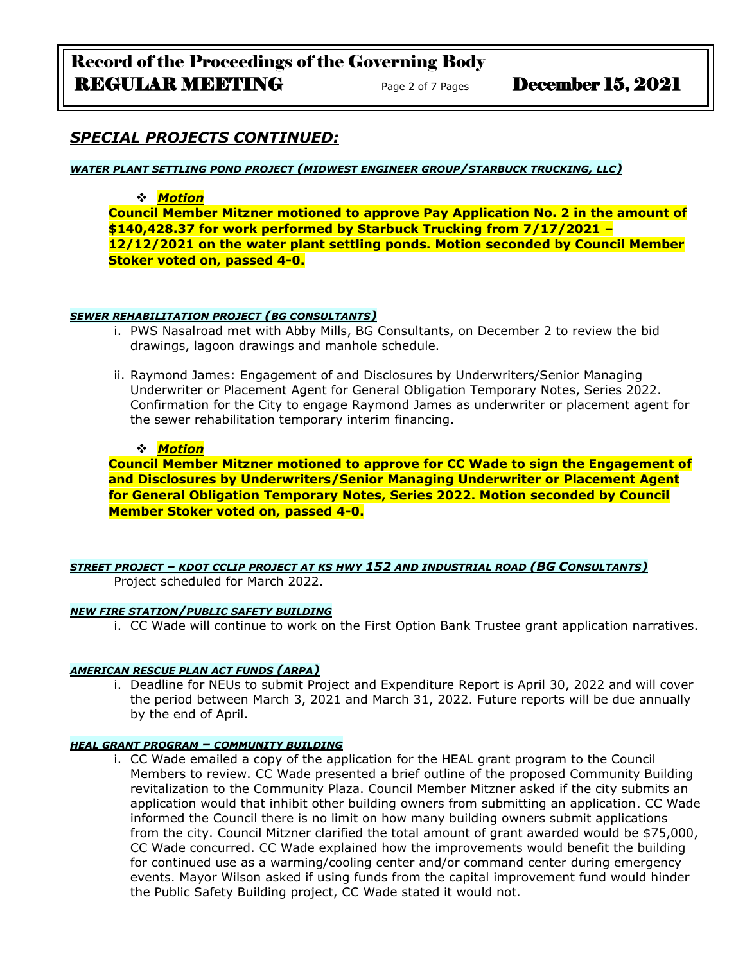## *SPECIAL PROJECTS CONTINUED:*

*WATER PLANT SETTLING POND PROJECT (MIDWEST ENGINEER GROUP/STARBUCK TRUCKING, LLC)*

#### ❖ *Motion*

**Council Member Mitzner motioned to approve Pay Application No. 2 in the amount of \$140,428.37 for work performed by Starbuck Trucking from 7/17/2021 – 12/12/2021 on the water plant settling ponds. Motion seconded by Council Member Stoker voted on, passed 4-0.**

#### *SEWER REHABILITATION PROJECT (BG CONSULTANTS)*

- i. PWS Nasalroad met with Abby Mills, BG Consultants, on December 2 to review the bid drawings, lagoon drawings and manhole schedule.
- ii. Raymond James: Engagement of and Disclosures by Underwriters/Senior Managing Underwriter or Placement Agent for General Obligation Temporary Notes, Series 2022. Confirmation for the City to engage Raymond James as underwriter or placement agent for the sewer rehabilitation temporary interim financing.

#### ❖ *Motion*

**Council Member Mitzner motioned to approve for CC Wade to sign the Engagement of and Disclosures by Underwriters/Senior Managing Underwriter or Placement Agent for General Obligation Temporary Notes, Series 2022. Motion seconded by Council Member Stoker voted on, passed 4-0.**

*STREET PROJECT – KDOT CCLIP PROJECT AT KS HWY 152 AND INDUSTRIAL ROAD (BG CONSULTANTS)* Project scheduled for March 2022.

#### *NEW FIRE STATION/PUBLIC SAFETY BUILDING*

i. CC Wade will continue to work on the First Option Bank Trustee grant application narratives.

#### *AMERICAN RESCUE PLAN ACT FUNDS (ARPA)*

i. Deadline for NEUs to submit Project and Expenditure Report is April 30, 2022 and will cover the period between March 3, 2021 and March 31, 2022. Future reports will be due annually by the end of April.

#### *HEAL GRANT PROGRAM – COMMUNITY BUILDING*

i. CC Wade emailed a copy of the application for the HEAL grant program to the Council Members to review. CC Wade presented a brief outline of the proposed Community Building revitalization to the Community Plaza. Council Member Mitzner asked if the city submits an application would that inhibit other building owners from submitting an application. CC Wade informed the Council there is no limit on how many building owners submit applications from the city. Council Mitzner clarified the total amount of grant awarded would be \$75,000, CC Wade concurred. CC Wade explained how the improvements would benefit the building for continued use as a warming/cooling center and/or command center during emergency events. Mayor Wilson asked if using funds from the capital improvement fund would hinder the Public Safety Building project, CC Wade stated it would not.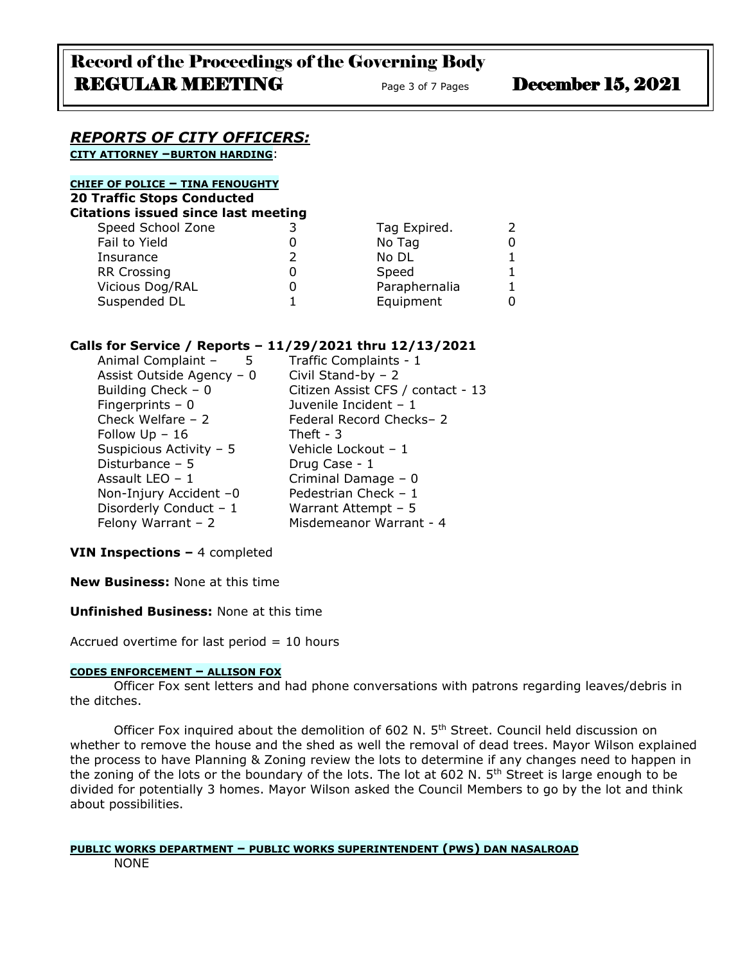#### *REPORTS OF CITY OFFICERS:* **CITY ATTORNEY –BURTON HARDING**:

**CHIEF OF POLICE – TINA FENOUGHTY 20 Traffic Stops Conducted**

**Citations issued since last meeting**

| Speed School Zone  | Tag Expired.  |  |
|--------------------|---------------|--|
| Fail to Yield      | No Tag        |  |
| Insurance          | No DL         |  |
| <b>RR Crossing</b> | Speed         |  |
| Vicious Dog/RAL    | Paraphernalia |  |
| Suspended DL       | Equipment     |  |
|                    |               |  |

#### **Calls for Service / Reports – 11/29/2021 thru 12/13/2021**

| Animal Complaint -<br>5<br>Assist Outside Agency - 0<br>Building Check $-0$ | Traffic Complaints - 1<br>Civil Stand-by $-2$<br>Citizen Assist CFS / contact - 13 |
|-----------------------------------------------------------------------------|------------------------------------------------------------------------------------|
| Fingerprints $-0$                                                           | Juvenile Incident - 1                                                              |
| Check Welfare $-2$<br>Follow $Up - 16$                                      | Federal Record Checks-2<br>Theft - $3$                                             |
| Suspicious Activity - 5                                                     | Vehicle Lockout - 1                                                                |
| Disturbance $-5$<br>Assault LEO $-1$                                        | Drug Case - 1<br>Criminal Damage - 0                                               |
| Non-Injury Accident -0                                                      | Pedestrian Check - 1                                                               |
| Disorderly Conduct - 1<br>Felony Warrant $-2$                               | Warrant Attempt - 5<br>Misdemeanor Warrant - 4                                     |
|                                                                             |                                                                                    |

### **VIN Inspections –** 4 completed

**New Business:** None at this time

#### **Unfinished Business:** None at this time

Accrued overtime for last period  $= 10$  hours

#### **CODES ENFORCEMENT – ALLISON FOX**

Officer Fox sent letters and had phone conversations with patrons regarding leaves/debris in the ditches.

Officer Fox inquired about the demolition of 602 N. 5<sup>th</sup> Street. Council held discussion on whether to remove the house and the shed as well the removal of dead trees. Mayor Wilson explained the process to have Planning & Zoning review the lots to determine if any changes need to happen in the zoning of the lots or the boundary of the lots. The lot at 602 N.  $5<sup>th</sup>$  Street is large enough to be divided for potentially 3 homes. Mayor Wilson asked the Council Members to go by the lot and think about possibilities.

#### **PUBLIC WORKS DEPARTMENT – PUBLIC WORKS SUPERINTENDENT (PWS) DAN NASALROAD** NONE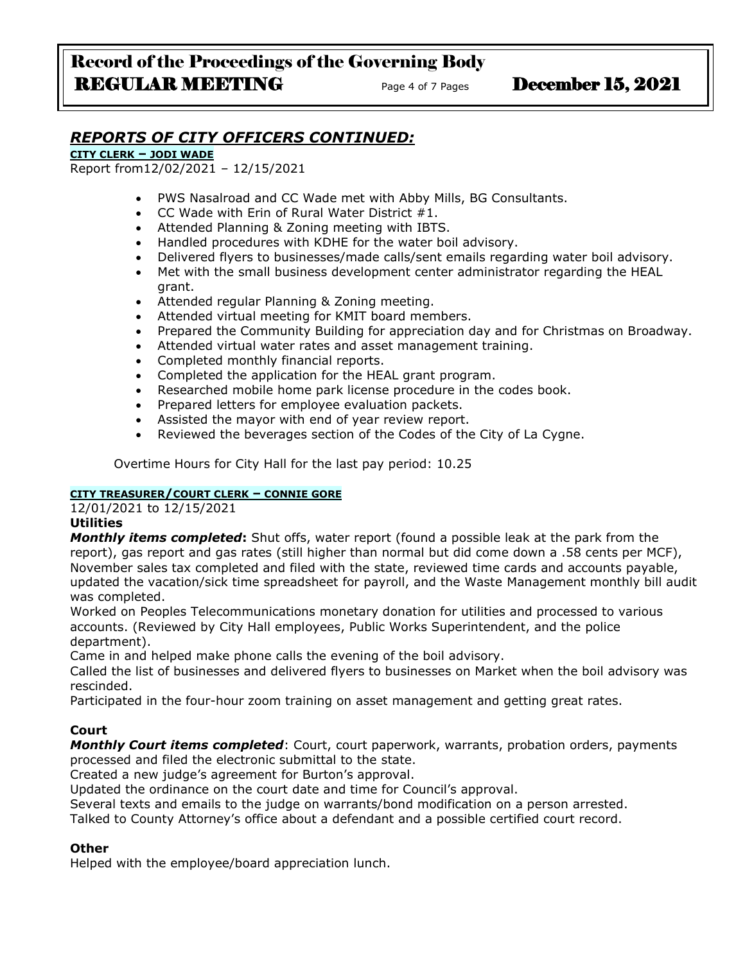# *REPORTS OF CITY OFFICERS CONTINUED:*

**CITY CLERK – JODI WADE**

Report from12/02/2021 – 12/15/2021

- PWS Nasalroad and CC Wade met with Abby Mills, BG Consultants.
- CC Wade with Erin of Rural Water District #1.
- Attended Planning & Zoning meeting with IBTS.
- Handled procedures with KDHE for the water boil advisory.
- Delivered flyers to businesses/made calls/sent emails regarding water boil advisory.
- Met with the small business development center administrator regarding the HEAL grant.
- Attended regular Planning & Zoning meeting.
- Attended virtual meeting for KMIT board members.
- Prepared the Community Building for appreciation day and for Christmas on Broadway.
- Attended virtual water rates and asset management training.
- Completed monthly financial reports.
- Completed the application for the HEAL grant program.
- Researched mobile home park license procedure in the codes book.
- Prepared letters for employee evaluation packets.
- Assisted the mayor with end of year review report.
- Reviewed the beverages section of the Codes of the City of La Cygne.

Overtime Hours for City Hall for the last pay period: 10.25

#### **CITY TREASURER/COURT CLERK – CONNIE GORE**

12/01/2021 to 12/15/2021

### **Utilities**

*Monthly items completed***:** Shut offs, water report (found a possible leak at the park from the report), gas report and gas rates (still higher than normal but did come down a .58 cents per MCF), November sales tax completed and filed with the state, reviewed time cards and accounts payable, updated the vacation/sick time spreadsheet for payroll, and the Waste Management monthly bill audit was completed.

Worked on Peoples Telecommunications monetary donation for utilities and processed to various accounts. (Reviewed by City Hall employees, Public Works Superintendent, and the police department).

Came in and helped make phone calls the evening of the boil advisory.

Called the list of businesses and delivered flyers to businesses on Market when the boil advisory was rescinded.

Participated in the four-hour zoom training on asset management and getting great rates.

### **Court**

*Monthly Court items completed*: Court, court paperwork, warrants, probation orders, payments processed and filed the electronic submittal to the state.

Created a new judge's agreement for Burton's approval.

Updated the ordinance on the court date and time for Council's approval.

Several texts and emails to the judge on warrants/bond modification on a person arrested.

Talked to County Attorney's office about a defendant and a possible certified court record.

#### **Other**

Helped with the employee/board appreciation lunch.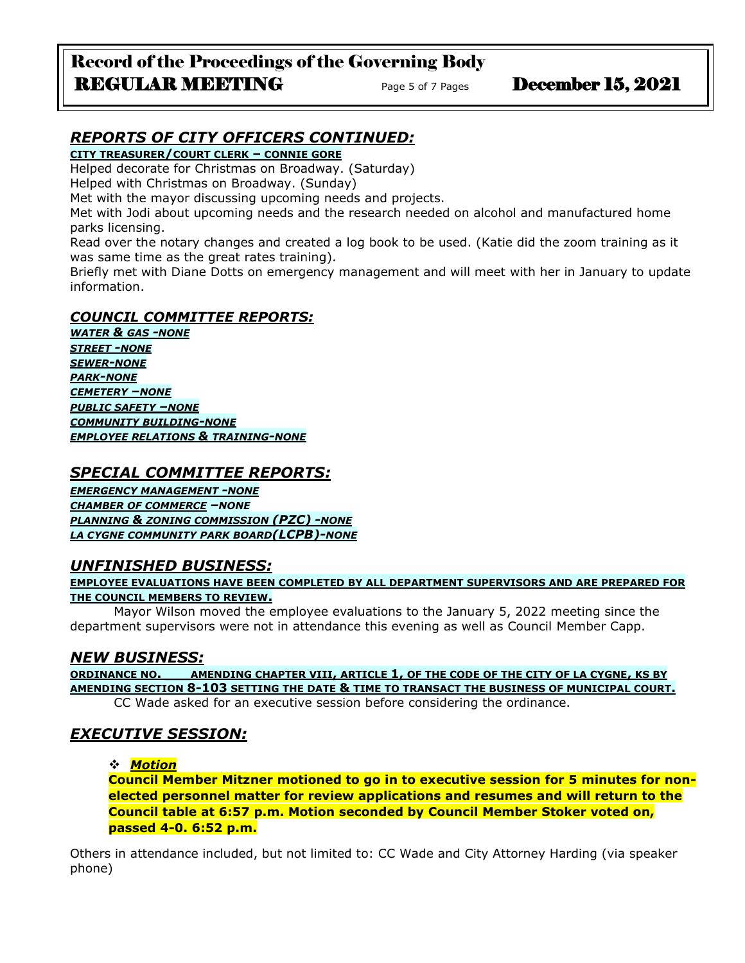# Record of the Proceedings of the Governing Body REGULAR MEETING Page 5 of 7 Pages December 15, 2021

# *REPORTS OF CITY OFFICERS CONTINUED:*

**CITY TREASURER/COURT CLERK – CONNIE GORE**

Helped decorate for Christmas on Broadway. (Saturday)

Helped with Christmas on Broadway. (Sunday)

Met with the mayor discussing upcoming needs and projects.

Met with Jodi about upcoming needs and the research needed on alcohol and manufactured home parks licensing.

Read over the notary changes and created a log book to be used. (Katie did the zoom training as it was same time as the great rates training).

Briefly met with Diane Dotts on emergency management and will meet with her in January to update information.

### *COUNCIL COMMITTEE REPORTS:*

*WATER & GAS -NONE STREET -NONE SEWER-NONE PARK-NONE CEMETERY –NONE PUBLIC SAFETY –NONE COMMUNITY BUILDING-NONE EMPLOYEE RELATIONS & TRAINING-NONE*

## *SPECIAL COMMITTEE REPORTS:*

*EMERGENCY MANAGEMENT -NONE CHAMBER OF COMMERCE –NONE PLANNING & ZONING COMMISSION (PZC) -NONE LA CYGNE COMMUNITY PARK BOARD(LCPB)-NONE*

# *UNFINISHED BUSINESS:*

**EMPLOYEE EVALUATIONS HAVE BEEN COMPLETED BY ALL DEPARTMENT SUPERVISORS AND ARE PREPARED FOR THE COUNCIL MEMBERS TO REVIEW.**

Mayor Wilson moved the employee evaluations to the January 5, 2022 meeting since the department supervisors were not in attendance this evening as well as Council Member Capp.

# *NEW BUSINESS:*

**ORDINANCE NO. \_\_\_AMENDING CHAPTER VIII, ARTICLE 1, OF THE CODE OF THE CITY OF LA CYGNE, KS BY AMENDING SECTION 8-103 SETTING THE DATE & TIME TO TRANSACT THE BUSINESS OF MUNICIPAL COURT.** CC Wade asked for an executive session before considering the ordinance.

# *EXECUTIVE SESSION:*

❖ *Motion* 

**Council Member Mitzner motioned to go in to executive session for 5 minutes for nonelected personnel matter for review applications and resumes and will return to the Council table at 6:57 p.m. Motion seconded by Council Member Stoker voted on, passed 4-0. 6:52 p.m.**

Others in attendance included, but not limited to: CC Wade and City Attorney Harding (via speaker phone)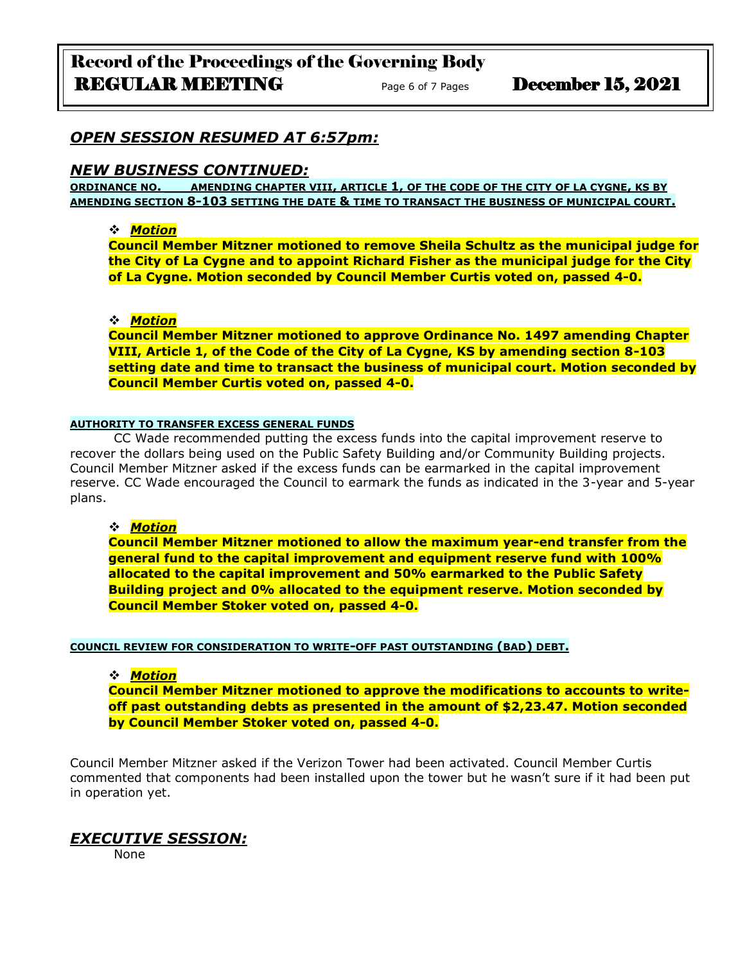### *OPEN SESSION RESUMED AT 6:57pm:*

#### *NEW BUSINESS CONTINUED:*

**ORDINANCE NO. \_\_\_AMENDING CHAPTER VIII, ARTICLE 1, OF THE CODE OF THE CITY OF LA CYGNE, KS BY AMENDING SECTION 8-103 SETTING THE DATE & TIME TO TRANSACT THE BUSINESS OF MUNICIPAL COURT.**

#### ❖ *Motion*

**Council Member Mitzner motioned to remove Sheila Schultz as the municipal judge for the City of La Cygne and to appoint Richard Fisher as the municipal judge for the City of La Cygne. Motion seconded by Council Member Curtis voted on, passed 4-0.**

#### ❖ *Motion*

**Council Member Mitzner motioned to approve Ordinance No. 1497 amending Chapter VIII, Article 1, of the Code of the City of La Cygne, KS by amending section 8-103 setting date and time to transact the business of municipal court. Motion seconded by Council Member Curtis voted on, passed 4-0.**

#### **AUTHORITY TO TRANSFER EXCESS GENERAL FUNDS**

CC Wade recommended putting the excess funds into the capital improvement reserve to recover the dollars being used on the Public Safety Building and/or Community Building projects. Council Member Mitzner asked if the excess funds can be earmarked in the capital improvement reserve. CC Wade encouraged the Council to earmark the funds as indicated in the 3-year and 5-year plans.

#### ❖ *Motion*

**Council Member Mitzner motioned to allow the maximum year-end transfer from the general fund to the capital improvement and equipment reserve fund with 100% allocated to the capital improvement and 50% earmarked to the Public Safety Building project and 0% allocated to the equipment reserve. Motion seconded by Council Member Stoker voted on, passed 4-0.**

#### **COUNCIL REVIEW FOR CONSIDERATION TO WRITE-OFF PAST OUTSTANDING (BAD) DEBT.**

#### ❖ *Motion*

**Council Member Mitzner motioned to approve the modifications to accounts to writeoff past outstanding debts as presented in the amount of \$2,23.47. Motion seconded by Council Member Stoker voted on, passed 4-0.**

Council Member Mitzner asked if the Verizon Tower had been activated. Council Member Curtis commented that components had been installed upon the tower but he wasn't sure if it had been put in operation yet.

### *EXECUTIVE SESSION:*

None